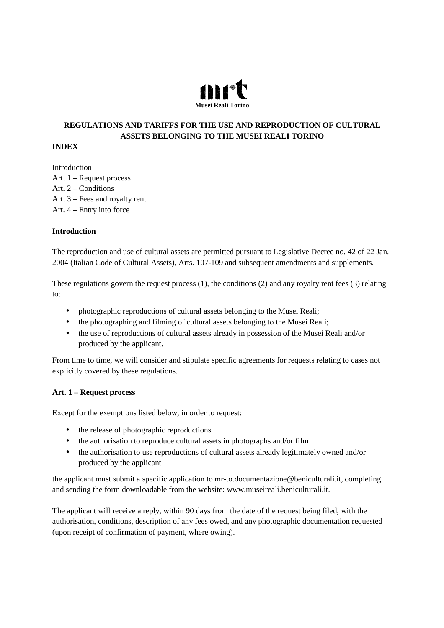

# **REGULATIONS AND TARIFFS FOR THE USE AND REPRODUCTION OF CULTURAL ASSETS BELONGING TO THE MUSEI REALI TORINO**

### **INDEX**

Introduction Art. 1 – Request process Art. 2 – Conditions Art. 3 – Fees and royalty rent Art. 4 – Entry into force

### **Introduction**

The reproduction and use of cultural assets are permitted pursuant to Legislative Decree no. 42 of 22 Jan. 2004 (Italian Code of Cultural Assets), Arts. 107-109 and subsequent amendments and supplements.

These regulations govern the request process (1), the conditions (2) and any royalty rent fees (3) relating to:

- photographic reproductions of cultural assets belonging to the Musei Reali;
- the photographing and filming of cultural assets belonging to the Musei Reali;
- the use of reproductions of cultural assets already in possession of the Musei Reali and/or produced by the applicant.

From time to time, we will consider and stipulate specific agreements for requests relating to cases not explicitly covered by these regulations.

### **Art. 1 – Request process**

Except for the exemptions listed below, in order to request:

- the release of photographic reproductions
- the authorisation to reproduce cultural assets in photographs and/or film
- the authorisation to use reproductions of cultural assets already legitimately owned and/or produced by the applicant

the applicant must submit a specific application to mr-to.documentazione@beniculturali.it, completing and sending the form downloadable from the website: www.museireali.beniculturali.it.

The applicant will receive a reply, within 90 days from the date of the request being filed, with the authorisation, conditions, description of any fees owed, and any photographic documentation requested (upon receipt of confirmation of payment, where owing).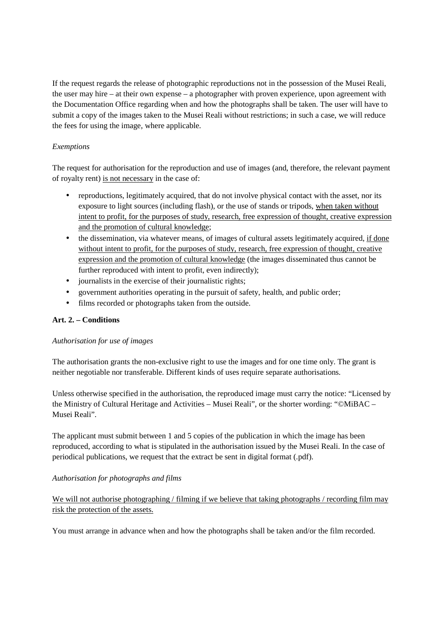If the request regards the release of photographic reproductions not in the possession of the Musei Reali, the user may hire – at their own expense – a photographer with proven experience, upon agreement with the Documentation Office regarding when and how the photographs shall be taken. The user will have to submit a copy of the images taken to the Musei Reali without restrictions; in such a case, we will reduce the fees for using the image, where applicable.

## *Exemptions*

The request for authorisation for the reproduction and use of images (and, therefore, the relevant payment of royalty rent) is not necessary in the case of:

- reproductions, legitimately acquired, that do not involve physical contact with the asset, nor its exposure to light sources (including flash), or the use of stands or tripods, when taken without intent to profit, for the purposes of study, research, free expression of thought, creative expression and the promotion of cultural knowledge;
- the dissemination, via whatever means, of images of cultural assets legitimately acquired, if done without intent to profit, for the purposes of study, research, free expression of thought, creative expression and the promotion of cultural knowledge (the images disseminated thus cannot be further reproduced with intent to profit, even indirectly);
- journalists in the exercise of their journalistic rights;
- government authorities operating in the pursuit of safety, health, and public order;
- films recorded or photographs taken from the outside.

## **Art. 2. – Conditions**

## *Authorisation for use of images*

The authorisation grants the non-exclusive right to use the images and for one time only. The grant is neither negotiable nor transferable. Different kinds of uses require separate authorisations.

Unless otherwise specified in the authorisation, the reproduced image must carry the notice: "Licensed by the Ministry of Cultural Heritage and Activities – Musei Reali", or the shorter wording: "©MiBAC – Musei Reali".

The applicant must submit between 1 and 5 copies of the publication in which the image has been reproduced, according to what is stipulated in the authorisation issued by the Musei Reali. In the case of periodical publications, we request that the extract be sent in digital format (.pdf).

## *Authorisation for photographs and films*

We will not authorise photographing / filming if we believe that taking photographs / recording film may risk the protection of the assets.

You must arrange in advance when and how the photographs shall be taken and/or the film recorded.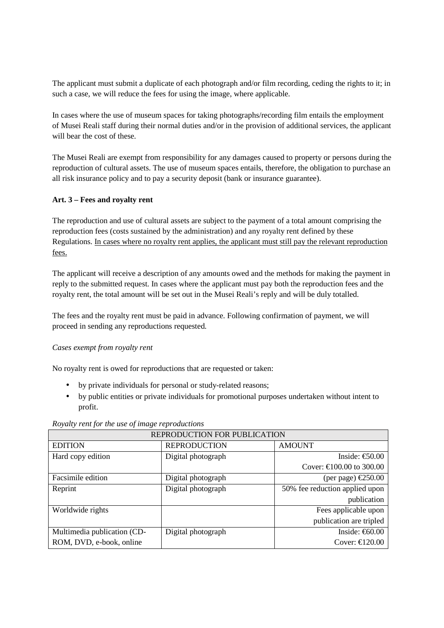The applicant must submit a duplicate of each photograph and/or film recording, ceding the rights to it; in such a case, we will reduce the fees for using the image, where applicable.

In cases where the use of museum spaces for taking photographs/recording film entails the employment of Musei Reali staff during their normal duties and/or in the provision of additional services, the applicant will bear the cost of these.

The Musei Reali are exempt from responsibility for any damages caused to property or persons during the reproduction of cultural assets. The use of museum spaces entails, therefore, the obligation to purchase an all risk insurance policy and to pay a security deposit (bank or insurance guarantee).

### **Art. 3 – Fees and royalty rent**

The reproduction and use of cultural assets are subject to the payment of a total amount comprising the reproduction fees (costs sustained by the administration) and any royalty rent defined by these Regulations. In cases where no royalty rent applies, the applicant must still pay the relevant reproduction fees.

The applicant will receive a description of any amounts owed and the methods for making the payment in reply to the submitted request. In cases where the applicant must pay both the reproduction fees and the royalty rent, the total amount will be set out in the Musei Reali's reply and will be duly totalled.

The fees and the royalty rent must be paid in advance. Following confirmation of payment, we will proceed in sending any reproductions requested.

### *Cases exempt from royalty rent*

No royalty rent is owed for reproductions that are requested or taken:

- by private individuals for personal or study-related reasons;
- by public entities or private individuals for promotional purposes undertaken without intent to profit.

| REPRODUCTION FOR PUBLICATION |                     |                                         |  |
|------------------------------|---------------------|-----------------------------------------|--|
| <b>EDITION</b>               | <b>REPRODUCTION</b> | <b>AMOUNT</b>                           |  |
| Hard copy edition            | Digital photograph  | Inside: $\text{\textsterling}50.00$     |  |
|                              |                     | Cover: €100.00 to 300.00                |  |
| Facsimile edition            | Digital photograph  | (per page) $\text{\textsterling}250.00$ |  |
| Reprint                      | Digital photograph  | 50% fee reduction applied upon          |  |
|                              |                     | publication                             |  |
| Worldwide rights             |                     | Fees applicable upon                    |  |
|                              |                     | publication are tripled                 |  |
| Multimedia publication (CD-  | Digital photograph  | Inside: € $(0.00)$                      |  |
| ROM, DVD, e-book, online     |                     | Cover: $\epsilon$ 120.00                |  |

*Royalty rent for the use of image reproductions*